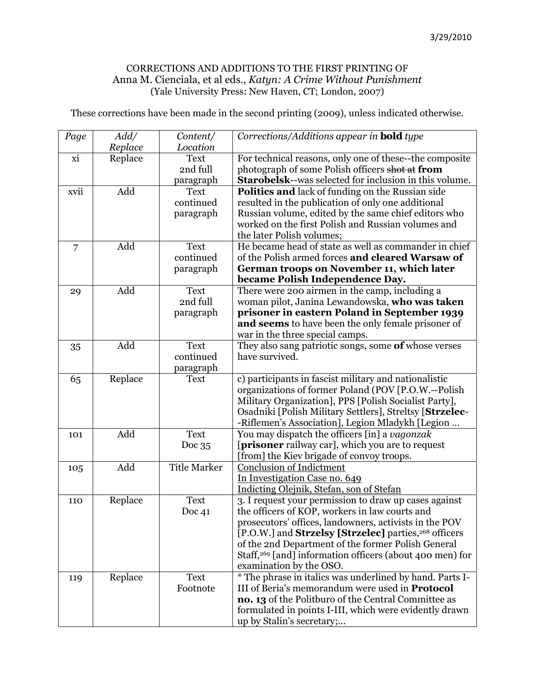## CORRECTIONS AND ADDITIONS TO THE FIRST PRINTING OF Anna M. Cienciala, et al eds., *Katyn: A Crime Without Punishment* (Yale University Press: New Haven, CT; London, 2007)

These corrections have been made in the second printing (2009), unless indicated otherwise.

| Page           | Add/    | Content/                | Corrections/Additions appear in <b>bold</b> type                                                              |
|----------------|---------|-------------------------|---------------------------------------------------------------------------------------------------------------|
|                | Replace | Location                |                                                                                                               |
| xi             | Replace | <b>Text</b>             | For technical reasons, only one of these--the composite                                                       |
|                |         | 2nd full                | photograph of some Polish officers shot at from                                                               |
|                |         | paragraph               | <b>Starobelsk--was selected for inclusion in this volume.</b>                                                 |
| xvii           | Add     | <b>Text</b>             | Politics and lack of funding on the Russian side                                                              |
|                |         | continued               | resulted in the publication of only one additional                                                            |
|                |         | paragraph               | Russian volume, edited by the same chief editors who                                                          |
|                |         |                         | worked on the first Polish and Russian volumes and                                                            |
|                |         |                         | the later Polish volumes;                                                                                     |
| $\overline{7}$ | Add     | <b>Text</b>             | He became head of state as well as commander in chief                                                         |
|                |         | continued               | of the Polish armed forces and cleared Warsaw of                                                              |
|                |         | paragraph               | German troops on November 11, which later                                                                     |
|                |         |                         | became Polish Independence Day.                                                                               |
| 29             | Add     | <b>Text</b><br>2nd full | There were 200 airmen in the camp, including a                                                                |
|                |         |                         | woman pilot, Janina Lewandowska, who was taken<br>prisoner in eastern Poland in September 1939                |
|                |         | paragraph               | and seems to have been the only female prisoner of                                                            |
|                |         |                         | war in the three special camps.                                                                               |
|                | Add     | <b>Text</b>             | They also sang patriotic songs, some of whose verses                                                          |
| 35             |         | continued               | have survived.                                                                                                |
|                |         | paragraph               |                                                                                                               |
| 65             | Replace | <b>Text</b>             | c) participants in fascist military and nationalistic                                                         |
|                |         |                         | organizations of former Poland (POV [P.O.W.--Polish                                                           |
|                |         |                         | Military Organization], PPS [Polish Socialist Party],                                                         |
|                |         |                         | Osadniki [Polish Military Settlers], Streltsy [Strzelec-                                                      |
|                |         |                         | -Riflemen's Association], Legion Mladykh [Legion                                                              |
| 101            | Add     | <b>Text</b>             | You may dispatch the officers [in] a vagonzak                                                                 |
|                |         | Doc $35$                | <b>[prisoner</b> railway car], which you are to request                                                       |
|                |         |                         | [from] the Kiev brigade of convoy troops.                                                                     |
| 105            | Add     | <b>Title Marker</b>     | <b>Conclusion of Indictment</b>                                                                               |
|                |         |                         | In Investigation Case no. 649                                                                                 |
|                |         |                         | Indicting Olejnik, Stefan, son of Stefan                                                                      |
| 110            | Replace | <b>Text</b>             | 3. I request your permission to draw up cases against                                                         |
|                |         | Doc $41$                | the officers of KOP, workers in law courts and                                                                |
|                |         |                         | prosecutors' offices, landowners, activists in the POV                                                        |
|                |         |                         | [P.O.W.] and <b>Strzelsy</b> [Strzelec] parties, <sup>268</sup> officers                                      |
|                |         |                         | of the 2nd Department of the former Polish General                                                            |
|                |         |                         | Staff, <sup>269</sup> [and] information officers (about 400 men) for                                          |
|                |         |                         | examination by the OSO.                                                                                       |
| 119            | Replace | <b>Text</b>             | * The phrase in italics was underlined by hand. Parts I-                                                      |
|                |         | Footnote                | III of Beria's memorandum were used in <b>Protocol</b>                                                        |
|                |         |                         | no. 13 of the Politburo of the Central Committee as<br>formulated in points I-III, which were evidently drawn |
|                |         |                         | up by Stalin's secretary;                                                                                     |
|                |         |                         |                                                                                                               |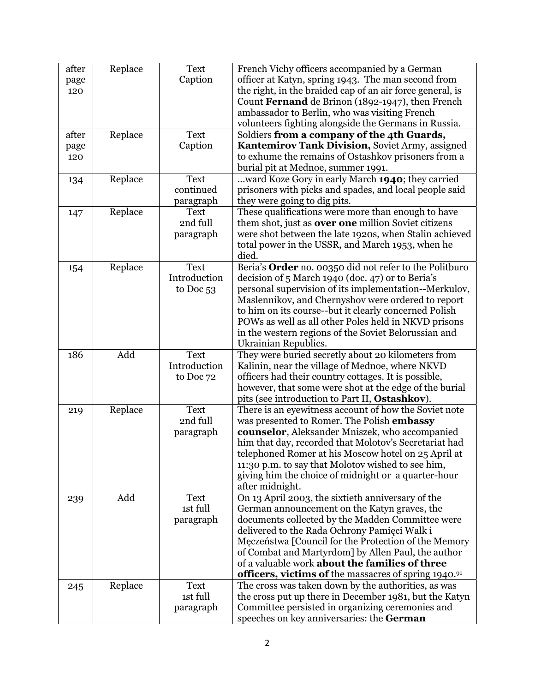| after | Replace | <b>Text</b>  | French Vichy officers accompanied by a German                                                 |
|-------|---------|--------------|-----------------------------------------------------------------------------------------------|
| page  |         | Caption      | officer at Katyn, spring 1943. The man second from                                            |
| 120   |         |              | the right, in the braided cap of an air force general, is                                     |
|       |         |              | Count Fernand de Brinon (1892-1947), then French                                              |
|       |         |              | ambassador to Berlin, who was visiting French                                                 |
|       |         |              | volunteers fighting alongside the Germans in Russia.                                          |
| after | Replace | <b>Text</b>  | Soldiers from a company of the 4th Guards,                                                    |
| page  |         | Caption      | Kantemirov Tank Division, Soviet Army, assigned                                               |
|       |         |              |                                                                                               |
| 120   |         |              | to exhume the remains of Ostashkov prisoners from a                                           |
|       |         |              | burial pit at Mednoe, summer 1991.                                                            |
| 134   | Replace | <b>Text</b>  | ward Koze Gory in early March 1940; they carried                                              |
|       |         | continued    | prisoners with picks and spades, and local people said                                        |
|       |         | paragraph    | they were going to dig pits.                                                                  |
| 147   | Replace | <b>Text</b>  | These qualifications were more than enough to have                                            |
|       |         | 2nd full     | them shot, just as <b>over one</b> million Soviet citizens                                    |
|       |         | paragraph    | were shot between the late 1920s, when Stalin achieved                                        |
|       |         |              | total power in the USSR, and March 1953, when he                                              |
|       |         |              | died.                                                                                         |
|       | Replace | <b>Text</b>  | Beria's Order no. 00350 did not refer to the Politburo                                        |
| 154   |         | Introduction |                                                                                               |
|       |         |              | decision of 5 March 1940 (doc. 47) or to Beria's                                              |
|       |         | to Doc 53    | personal supervision of its implementation--Merkulov,                                         |
|       |         |              | Maslennikov, and Chernyshov were ordered to report                                            |
|       |         |              | to him on its course--but it clearly concerned Polish                                         |
|       |         |              | POWs as well as all other Poles held in NKVD prisons                                          |
|       |         |              | in the western regions of the Soviet Belorussian and                                          |
|       |         |              | Ukrainian Republics.                                                                          |
| 186   | Add     | <b>Text</b>  | They were buried secretly about 20 kilometers from                                            |
|       |         | Introduction | Kalinin, near the village of Mednoe, where NKVD                                               |
|       |         | to Doc 72    | officers had their country cottages. It is possible,                                          |
|       |         |              | however, that some were shot at the edge of the burial                                        |
|       |         |              |                                                                                               |
|       |         |              | pits (see introduction to Part II, Ostashkov).                                                |
| 219   | Replace | <b>Text</b>  | There is an eyewitness account of how the Soviet note                                         |
|       |         | 2nd full     | was presented to Romer. The Polish embassy                                                    |
|       |         |              |                                                                                               |
|       |         | paragraph    | counselor, Aleksander Mniszek, who accompanied                                                |
|       |         |              | him that day, recorded that Molotov's Secretariat had                                         |
|       |         |              |                                                                                               |
|       |         |              | telephoned Romer at his Moscow hotel on 25 April at                                           |
|       |         |              | 11:30 p.m. to say that Molotov wished to see him,                                             |
|       |         |              | giving him the choice of midnight or a quarter-hour                                           |
|       |         |              | after midnight.                                                                               |
| 239   | Add     | <b>Text</b>  | On 13 April 2003, the sixtieth anniversary of the                                             |
|       |         | 1st full     | German announcement on the Katyn graves, the                                                  |
|       |         | paragraph    | documents collected by the Madden Committee were                                              |
|       |         |              | delivered to the Rada Ochrony Pamięci Walk i                                                  |
|       |         |              | Męczeństwa [Council for the Protection of the Memory                                          |
|       |         |              | of Combat and Martyrdom] by Allen Paul, the author                                            |
|       |         |              | of a valuable work <b>about the families of three</b>                                         |
|       |         |              | officers, victims of the massacres of spring 1940.91                                          |
|       |         | <b>Text</b>  |                                                                                               |
| 245   | Replace |              | The cross was taken down by the authorities, as was                                           |
|       |         | 1st full     | the cross put up there in December 1981, but the Katyn                                        |
|       |         | paragraph    | Committee persisted in organizing ceremonies and<br>speeches on key anniversaries: the German |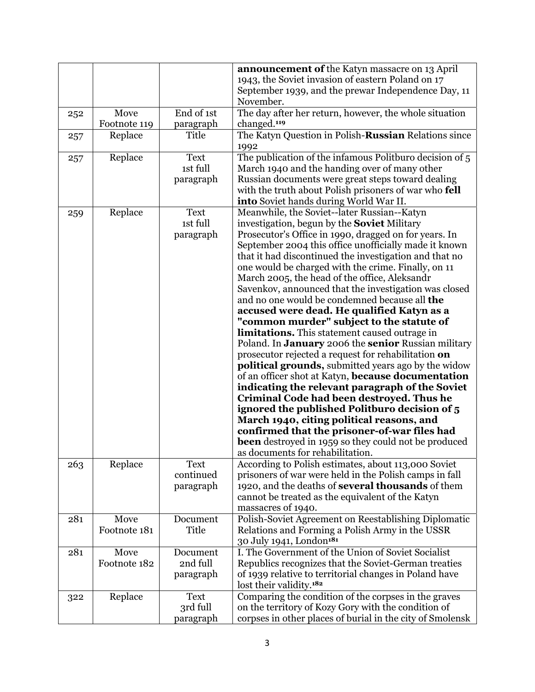|     |              |             | announcement of the Katyn massacre on 13 April                                                                  |
|-----|--------------|-------------|-----------------------------------------------------------------------------------------------------------------|
|     |              |             | 1943, the Soviet invasion of eastern Poland on 17                                                               |
|     |              |             | September 1939, and the prewar Independence Day, 11                                                             |
|     |              |             | November.                                                                                                       |
| 252 | Move         | End of 1st  | The day after her return, however, the whole situation                                                          |
|     | Footnote 119 | paragraph   | changed. <sup>119</sup>                                                                                         |
| 257 | Replace      | Title       | The Katyn Question in Polish-Russian Relations since                                                            |
|     |              |             | 1992                                                                                                            |
| 257 | Replace      | <b>Text</b> | The publication of the infamous Politburo decision of 5                                                         |
|     |              | 1st full    | March 1940 and the handing over of many other                                                                   |
|     |              | paragraph   | Russian documents were great steps toward dealing                                                               |
|     |              |             | with the truth about Polish prisoners of war who fell                                                           |
|     |              |             | into Soviet hands during World War II.                                                                          |
|     | Replace      | <b>Text</b> | Meanwhile, the Soviet--later Russian--Katyn                                                                     |
| 259 |              | 1st full    | investigation, begun by the <b>Soviet</b> Military                                                              |
|     |              |             | Prosecutor's Office in 1990, dragged on for years. In                                                           |
|     |              | paragraph   |                                                                                                                 |
|     |              |             | September 2004 this office unofficially made it known<br>that it had discontinued the investigation and that no |
|     |              |             | one would be charged with the crime. Finally, on 11                                                             |
|     |              |             | March 2005, the head of the office, Aleksandr                                                                   |
|     |              |             |                                                                                                                 |
|     |              |             | Savenkov, announced that the investigation was closed<br>and no one would be condemned because all the          |
|     |              |             |                                                                                                                 |
|     |              |             | accused were dead. He qualified Katyn as a                                                                      |
|     |              |             | "common murder" subject to the statute of                                                                       |
|     |              |             | limitations. This statement caused outrage in                                                                   |
|     |              |             | Poland. In <b>January</b> 2006 the senior Russian military                                                      |
|     |              |             | prosecutor rejected a request for rehabilitation on                                                             |
|     |              |             | <b>political grounds</b> , submitted years ago by the widow                                                     |
|     |              |             | of an officer shot at Katyn, because documentation                                                              |
|     |              |             | indicating the relevant paragraph of the Soviet                                                                 |
|     |              |             | Criminal Code had been destroyed. Thus he                                                                       |
|     |              |             | ignored the published Politburo decision of 5                                                                   |
|     |              |             | March 1940, citing political reasons, and                                                                       |
|     |              |             | confirmed that the prisoner-of-war files had                                                                    |
|     |              |             | <b>been</b> destroyed in 1959 so they could not be produced                                                     |
|     |              |             | as documents for rehabilitation.                                                                                |
| 263 | Replace      | <b>Text</b> | According to Polish estimates, about 113,000 Soviet                                                             |
|     |              | continued   | prisoners of war were held in the Polish camps in fall                                                          |
|     |              | paragraph   | 1920, and the deaths of several thousands of them                                                               |
|     |              |             | cannot be treated as the equivalent of the Katyn                                                                |
|     |              |             | massacres of 1940.                                                                                              |
| 281 | Move         | Document    | Polish-Soviet Agreement on Reestablishing Diplomatic                                                            |
|     | Footnote 181 | Title       | Relations and Forming a Polish Army in the USSR                                                                 |
|     |              |             | 30 July 1941, London <sup>181</sup>                                                                             |
| 281 | Move         | Document    | I. The Government of the Union of Soviet Socialist                                                              |
|     | Footnote 182 | 2nd full    | Republics recognizes that the Soviet-German treaties                                                            |
|     |              | paragraph   | of 1939 relative to territorial changes in Poland have                                                          |
|     |              |             | lost their validity. <sup>182</sup>                                                                             |
| 322 | Replace      | <b>Text</b> | Comparing the condition of the corpses in the graves                                                            |
|     |              | 3rd full    | on the territory of Kozy Gory with the condition of                                                             |
|     |              | paragraph   | corpses in other places of burial in the city of Smolensk                                                       |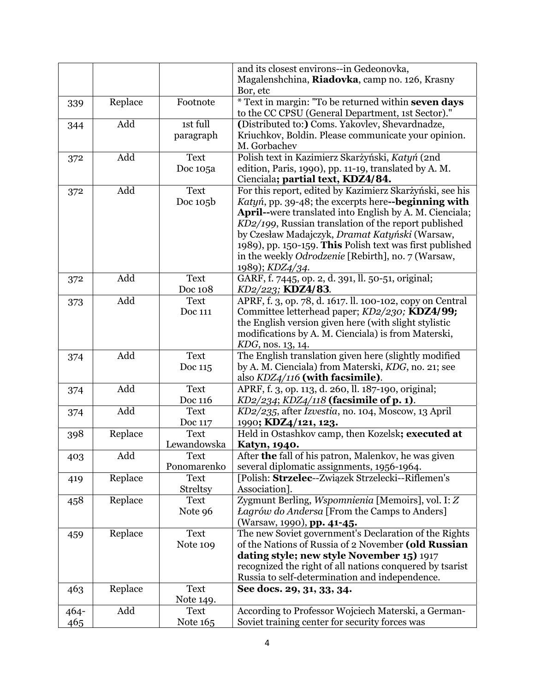|      |         |                 | and its closest environs--in Gedeonovka,                  |
|------|---------|-----------------|-----------------------------------------------------------|
|      |         |                 | Magalenshchina, Riadovka, camp no. 126, Krasny            |
|      |         |                 | Bor, etc                                                  |
| 339  | Replace | Footnote        | * Text in margin: "To be returned within seven days       |
|      |         |                 | to the CC CPSU (General Department, 1st Sector)."         |
| 344  | Add     | 1st full        | (Distributed to:) Coms. Yakovlev, Shevardnadze,           |
|      |         | paragraph       | Kriuchkov, Boldin. Please communicate your opinion.       |
|      |         |                 | M. Gorbachev                                              |
| 372  | Add     | <b>Text</b>     | Polish text in Kazimierz Skarżyński, Katyń (2nd           |
|      |         | Doc 105a        | edition, Paris, 1990), pp. 11-19, translated by A. M.     |
|      |         |                 | Cienciala; partial text, KDZ4/84.                         |
| 372  | Add     | <b>Text</b>     | For this report, edited by Kazimierz Skarżyński, see his  |
|      |         | Doc 105b        | Katyń, pp. 39-48; the excerpts here-beginning with        |
|      |         |                 | April--were translated into English by A. M. Cienciala;   |
|      |         |                 | KD2/199, Russian translation of the report published      |
|      |         |                 | by Czesław Madajczyk, Dramat Katyński (Warsaw,            |
|      |         |                 | 1989), pp. 150-159. This Polish text was first published  |
|      |         |                 | in the weekly <i>Odrodzenie</i> [Rebirth], no. 7 (Warsaw, |
|      |         |                 | 1989); KDZ4/34.                                           |
| 372  | Add     | <b>Text</b>     | GARF, f. 7445, op. 2, d. 391, ll. 50-51, original;        |
|      |         | Doc 108         | KD2/223; KDZ4/83.                                         |
| 373  | Add     | <b>Text</b>     | APRF, f. 3, op. 78, d. 1617. ll. 100-102, copy on Central |
|      |         | Doc 111         | Committee letterhead paper; KD2/230; KDZ4/99;             |
|      |         |                 | the English version given here (with slight stylistic     |
|      |         |                 | modifications by A. M. Cienciala) is from Materski,       |
|      |         |                 | KDG, nos. 13, 14.                                         |
| 374  | Add     | <b>Text</b>     | The English translation given here (slightly modified     |
|      |         | Doc 115         | by A. M. Cienciala) from Materski, KDG, no. 21; see       |
|      |         |                 | also KDZ4/116 (with facsimile).                           |
| 374  | Add     | <b>Text</b>     | APRF, f. 3, op. 113, d. 260, ll. 187-190, original;       |
|      |         | Doc 116         | $KD2/234$ ; $KDZ4/118$ (facsimile of p. 1).               |
| 374  | Add     | <b>Text</b>     | KD2/235, after Izvestia, no. 104, Moscow, 13 April        |
|      |         | Doc 117         | 1990; KDZ4/121, 123.                                      |
| 398  | Replace | <b>Text</b>     | Held in Ostashkov camp, then Kozelsk; executed at         |
|      |         | Lewandowska     | Katyn, 1940.                                              |
| 403  | Add     | Text            | After the fall of his patron, Malenkov, he was given      |
|      |         | Ponomarenko     | several diplomatic assignments, 1956-1964.                |
| 419  | Replace | <b>Text</b>     | [Polish: Strzelec--Związek Strzelecki--Riflemen's         |
|      |         | <b>Streltsy</b> | Association].                                             |
| 458  | Replace | <b>Text</b>     | Zygmunt Berling, Wspomnienia [Memoirs], vol. I: Z         |
|      |         | Note 96         | <i>Lagrów do Andersa</i> [From the Camps to Anders]       |
|      |         |                 | (Warsaw, 1990), pp. 41-45.                                |
| 459  | Replace | <b>Text</b>     | The new Soviet government's Declaration of the Rights     |
|      |         | Note 109        | of the Nations of Russia of 2 November (old Russian       |
|      |         |                 | dating style; new style November 15) 1917                 |
|      |         |                 | recognized the right of all nations conquered by tsarist  |
|      |         |                 | Russia to self-determination and independence.            |
| 463  | Replace | <b>Text</b>     | See docs. 29, 31, 33, 34.                                 |
|      |         | Note 149.       |                                                           |
| 464- | Add     | <b>Text</b>     | According to Professor Wojciech Materski, a German-       |
| 465  |         | Note 165        | Soviet training center for security forces was            |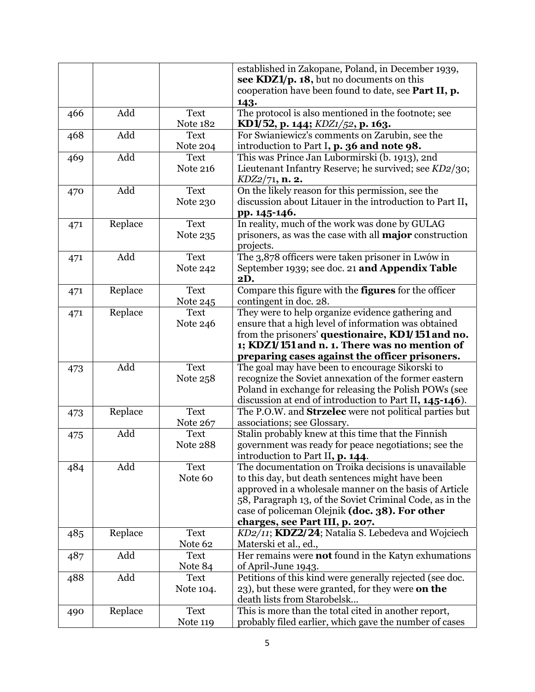|     |         |                                | established in Zakopane, Poland, in December 1939,                                                                                                                                                                                                                                                                 |
|-----|---------|--------------------------------|--------------------------------------------------------------------------------------------------------------------------------------------------------------------------------------------------------------------------------------------------------------------------------------------------------------------|
|     |         |                                | see KDZ1/p. 18, but no documents on this                                                                                                                                                                                                                                                                           |
|     |         |                                | cooperation have been found to date, see Part II, p.<br>143.                                                                                                                                                                                                                                                       |
| 466 | Add     | <b>Text</b><br><b>Note 182</b> | The protocol is also mentioned in the footnote; see<br>KD1/52, p. 144; $KDZ1/52$ , p. 163.                                                                                                                                                                                                                         |
| 468 | Add     | <b>Text</b><br>Note 204        | For Swianiewicz's comments on Zarubin, see the<br>introduction to Part I, p. 36 and note 98.                                                                                                                                                                                                                       |
| 469 | Add     | <b>Text</b><br><b>Note 216</b> | This was Prince Jan Lubormirski (b. 1913), 2nd<br>Lieutenant Infantry Reserve; he survived; see KD2/30;<br>$KDZ2/71$ , n. 2.                                                                                                                                                                                       |
| 470 | Add     | <b>Text</b><br>Note 230        | On the likely reason for this permission, see the<br>discussion about Litauer in the introduction to Part II,<br>pp. 145-146.                                                                                                                                                                                      |
| 471 | Replace | <b>Text</b><br>Note 235        | In reality, much of the work was done by GULAG<br>prisoners, as was the case with all <b>major</b> construction<br>projects.                                                                                                                                                                                       |
| 471 | Add     | <b>Text</b><br><b>Note 242</b> | The 3,878 officers were taken prisoner in Lwów in<br>September 1939; see doc. 21 and Appendix Table<br><b>2D.</b>                                                                                                                                                                                                  |
| 471 | Replace | <b>Text</b><br>Note 245        | Compare this figure with the <b>figures</b> for the officer<br>contingent in doc. 28.                                                                                                                                                                                                                              |
| 471 | Replace | <b>Text</b><br>Note 246        | They were to help organize evidence gathering and<br>ensure that a high level of information was obtained<br>from the prisoners' questionaire, <i>KD1/151</i> and no.<br>1; KDZ1/151 and n. 1. There was no mention of                                                                                             |
| 473 | Add     | <b>Text</b>                    | preparing cases against the officer prisoners.<br>The goal may have been to encourage Sikorski to                                                                                                                                                                                                                  |
|     |         | Note 258                       | recognize the Soviet annexation of the former eastern<br>Poland in exchange for releasing the Polish POWs (see<br>discussion at end of introduction to Part II, 145-146).                                                                                                                                          |
| 473 | Replace | <b>Text</b><br>Note 267        | The P.O.W. and <b>Strzelec</b> were not political parties but<br>associations; see Glossary.                                                                                                                                                                                                                       |
| 475 | Add     | <b>Text</b><br><b>Note 288</b> | Stalin probably knew at this time that the Finnish<br>government was ready for peace negotiations; see the<br>introduction to Part II, p. 144.                                                                                                                                                                     |
| 484 | Add     | <b>Text</b><br>Note 60         | The documentation on Troika decisions is unavailable<br>to this day, but death sentences might have been<br>approved in a wholesale manner on the basis of Article<br>58, Paragraph 13, of the Soviet Criminal Code, as in the<br>case of policeman Olejnik (doc. 38). For other<br>charges, see Part III, p. 207. |
| 485 | Replace | <b>Text</b><br>Note 62         | KD2/11; KDZ2/24; Natalia S. Lebedeva and Wojciech<br>Materski et al., ed.,                                                                                                                                                                                                                                         |
| 487 | Add     | <b>Text</b><br>Note 84         | Her remains were <b>not</b> found in the Katyn exhumations<br>of April-June 1943.                                                                                                                                                                                                                                  |
| 488 | Add     | <b>Text</b><br>Note 104.       | Petitions of this kind were generally rejected (see doc.<br>23), but these were granted, for they were <b>on the</b><br>death lists from Starobelsk                                                                                                                                                                |
| 490 | Replace | <b>Text</b><br><b>Note 119</b> | This is more than the total cited in another report,<br>probably filed earlier, which gave the number of cases                                                                                                                                                                                                     |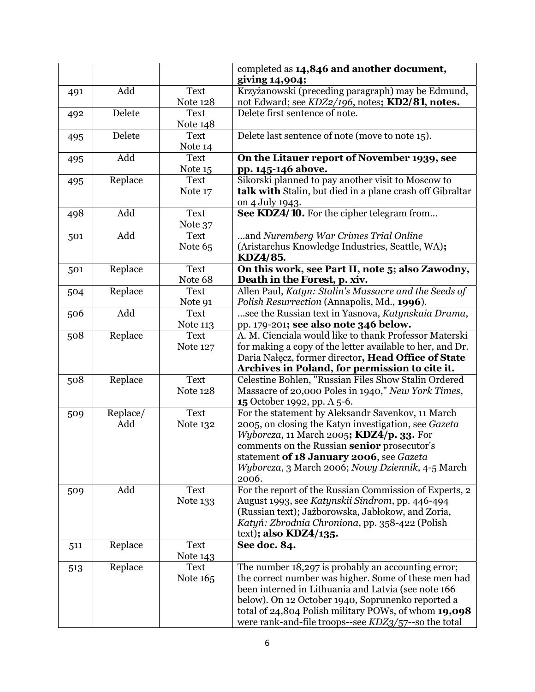|     |                 |                        | completed as 14,846 and another document,<br>giving 14,904;                                                                                                                                                              |
|-----|-----------------|------------------------|--------------------------------------------------------------------------------------------------------------------------------------------------------------------------------------------------------------------------|
| 491 | Add             | <b>Text</b>            | Krzyżanowski (preceding paragraph) may be Edmund,                                                                                                                                                                        |
|     |                 | <b>Note 128</b>        | not Edward; see KDZ2/196, notes; KD2/81, notes.                                                                                                                                                                          |
| 492 | Delete          | <b>Text</b>            | Delete first sentence of note.                                                                                                                                                                                           |
|     |                 | Note 148               |                                                                                                                                                                                                                          |
| 495 | Delete          | <b>Text</b>            | Delete last sentence of note (move to note 15).                                                                                                                                                                          |
|     |                 | Note 14                |                                                                                                                                                                                                                          |
| 495 | Add             | <b>Text</b>            | On the Litauer report of November 1939, see                                                                                                                                                                              |
|     |                 | Note 15                | pp. 145-146 above.                                                                                                                                                                                                       |
| 495 | Replace         | <b>Text</b>            | Sikorski planned to pay another visit to Moscow to                                                                                                                                                                       |
|     |                 | Note 17                | talk with Stalin, but died in a plane crash off Gibraltar                                                                                                                                                                |
|     |                 |                        | on 4 July 1943.                                                                                                                                                                                                          |
| 498 | Add             | <b>Text</b>            | See KDZ4/10. For the cipher telegram from                                                                                                                                                                                |
|     | Add             | Note 37<br><b>Text</b> | and Nuremberg War Crimes Trial Online                                                                                                                                                                                    |
| 501 |                 |                        | (Aristarchus Knowledge Industries, Seattle, WA);                                                                                                                                                                         |
|     |                 | Note 65                | <b>KDZ4/85.</b>                                                                                                                                                                                                          |
| 501 | Replace         | <b>Text</b>            | On this work, see Part II, note 5; also Zawodny,                                                                                                                                                                         |
|     |                 | Note 68                | Death in the Forest, p. xiv.                                                                                                                                                                                             |
| 504 | Replace         | <b>Text</b>            | Allen Paul, Katyn: Stalin's Massacre and the Seeds of                                                                                                                                                                    |
|     |                 | Note 91                | Polish Resurrection (Annapolis, Md., 1996).                                                                                                                                                                              |
| 506 | Add             | <b>Text</b>            | see the Russian text in Yasnova, Katynskaia Drama,                                                                                                                                                                       |
|     |                 | Note 113               | pp. 179-201; see also note 346 below.                                                                                                                                                                                    |
| 508 | Replace         | <b>Text</b>            | A. M. Cienciala would like to thank Professor Materski                                                                                                                                                                   |
|     |                 | <b>Note 127</b>        | for making a copy of the letter available to her, and Dr.                                                                                                                                                                |
|     |                 |                        | Daria Nałęcz, former director, Head Office of State                                                                                                                                                                      |
|     |                 |                        | Archives in Poland, for permission to cite it.                                                                                                                                                                           |
| 508 | Replace         | <b>Text</b>            | Celestine Bohlen, "Russian Files Show Stalin Ordered                                                                                                                                                                     |
|     |                 | <b>Note 128</b>        | Massacre of 20,000 Poles in 1940," New York Times,                                                                                                                                                                       |
|     |                 |                        | 15 October 1992, pp. A 5-6.                                                                                                                                                                                              |
| 509 | Replace/<br>Add | <b>Text</b>            | For the statement by Aleksandr Savenkov, 11 March                                                                                                                                                                        |
|     |                 | Note 132               | 2005, on closing the Katyn investigation, see Gazeta<br><i>Wyborcza</i> , 11 March 2005; $KDZ4/p.$ 33. For                                                                                                               |
|     |                 |                        | comments on the Russian senior prosecutor's                                                                                                                                                                              |
|     |                 |                        | statement of 18 January 2006, see Gazeta                                                                                                                                                                                 |
|     |                 |                        | Wyborcza, 3 March 2006; Nowy Dziennik, 4-5 March                                                                                                                                                                         |
|     |                 |                        | 2006.                                                                                                                                                                                                                    |
| 509 | Add             | <b>Text</b>            | For the report of the Russian Commission of Experts, 2                                                                                                                                                                   |
|     |                 | Note 133               | August 1993, see Katynskii Sindrom, pp. 446-494                                                                                                                                                                          |
|     |                 |                        | (Russian text); Jażborowska, Jabłokow, and Zoria,                                                                                                                                                                        |
|     |                 |                        | Katyń: Zbrodnia Chroniona, pp. 358-422 (Polish                                                                                                                                                                           |
|     |                 |                        | text); also $KDZ4/135$ .                                                                                                                                                                                                 |
| 511 | Replace         | Text                   | See doc. 84.                                                                                                                                                                                                             |
|     |                 | Note 143               |                                                                                                                                                                                                                          |
| 513 | Replace         | <b>Text</b>            | The number 18,297 is probably an accounting error;                                                                                                                                                                       |
|     |                 | Note 165               | the correct number was higher. Some of these men had                                                                                                                                                                     |
|     |                 |                        |                                                                                                                                                                                                                          |
|     |                 |                        |                                                                                                                                                                                                                          |
|     |                 |                        |                                                                                                                                                                                                                          |
|     |                 |                        | been interned in Lithuania and Latvia (see note 166<br>below). On 12 October 1940, Soprunenko reported a<br>total of 24,804 Polish military POWs, of whom 19,098<br>were rank-and-file troops--see KDZ3/57--so the total |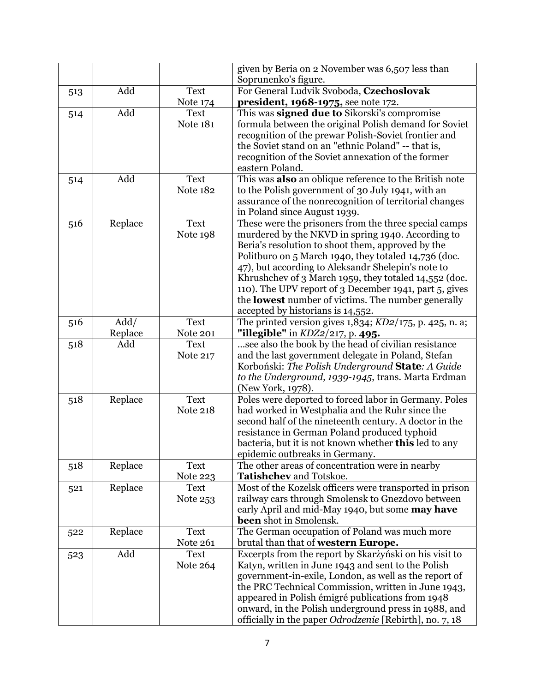|     |                 |                                | given by Beria on 2 November was 6,507 less than<br>Soprunenko's figure.                                                                                                                                                                                                                                                                                                                                                                                                                           |
|-----|-----------------|--------------------------------|----------------------------------------------------------------------------------------------------------------------------------------------------------------------------------------------------------------------------------------------------------------------------------------------------------------------------------------------------------------------------------------------------------------------------------------------------------------------------------------------------|
|     | Add             | <b>Text</b>                    | For General Ludvik Svoboda, Czechoslovak                                                                                                                                                                                                                                                                                                                                                                                                                                                           |
| 513 |                 | Note 174                       | president, 1968-1975, see note 172.                                                                                                                                                                                                                                                                                                                                                                                                                                                                |
| 514 | Add             | <b>Text</b><br><b>Note 181</b> | This was signed due to Sikorski's compromise<br>formula between the original Polish demand for Soviet<br>recognition of the prewar Polish-Soviet frontier and<br>the Soviet stand on an "ethnic Poland" -- that is,<br>recognition of the Soviet annexation of the former<br>eastern Poland.                                                                                                                                                                                                       |
| 514 | Add             | <b>Text</b><br><b>Note 182</b> | This was also an oblique reference to the British note<br>to the Polish government of 30 July 1941, with an<br>assurance of the nonrecognition of territorial changes<br>in Poland since August 1939.                                                                                                                                                                                                                                                                                              |
| 516 | Replace         | <b>Text</b><br>Note 198        | These were the prisoners from the three special camps<br>murdered by the NKVD in spring 1940. According to<br>Beria's resolution to shoot them, approved by the<br>Politburo on 5 March 1940, they totaled 14,736 (doc.<br>47), but according to Aleksandr Shelepin's note to<br>Khrushchev of 3 March 1959, they totaled 14,552 (doc.<br>110). The UPV report of 3 December 1941, part 5, gives<br>the <b>lowest</b> number of victims. The number generally<br>accepted by historians is 14,552. |
| 516 | Add/<br>Replace | <b>Text</b><br><b>Note 201</b> | The printed version gives $1,834$ ; $KD2/175$ , p. 425, n. a;<br>"illegible" in KDZ2/217, p. 495.                                                                                                                                                                                                                                                                                                                                                                                                  |
| 518 | Add             | <b>Text</b><br><b>Note 217</b> | see also the book by the head of civilian resistance<br>and the last government delegate in Poland, Stefan<br>Korboński: The Polish Underground State: A Guide<br>to the Underground, 1939-1945, trans. Marta Erdman<br>(New York, 1978).                                                                                                                                                                                                                                                          |
| 518 | Replace         | <b>Text</b><br><b>Note 218</b> | Poles were deported to forced labor in Germany. Poles<br>had worked in Westphalia and the Ruhr since the<br>second half of the nineteenth century. A doctor in the<br>resistance in German Poland produced typhoid<br>bacteria, but it is not known whether <b>this</b> led to any<br>epidemic outbreaks in Germany.                                                                                                                                                                               |
| 518 | Replace         | Text<br>Note 223               | The other areas of concentration were in nearby<br>Tatishchev and Totskoe.                                                                                                                                                                                                                                                                                                                                                                                                                         |
| 521 | Replace         | <b>Text</b><br>Note 253        | Most of the Kozelsk officers were transported in prison<br>railway cars through Smolensk to Gnezdovo between<br>early April and mid-May 1940, but some <b>may have</b><br>been shot in Smolensk.                                                                                                                                                                                                                                                                                                   |
| 522 | Replace         | Text<br>Note 261               | The German occupation of Poland was much more<br>brutal than that of western Europe.                                                                                                                                                                                                                                                                                                                                                                                                               |
| 523 | Add             | <b>Text</b><br>Note 264        | Excerpts from the report by Skarżyński on his visit to<br>Katyn, written in June 1943 and sent to the Polish<br>government-in-exile, London, as well as the report of<br>the PRC Technical Commission, written in June 1943,<br>appeared in Polish émigré publications from 1948<br>onward, in the Polish underground press in 1988, and<br>officially in the paper Odrodzenie [Rebirth], no. 7, 18                                                                                                |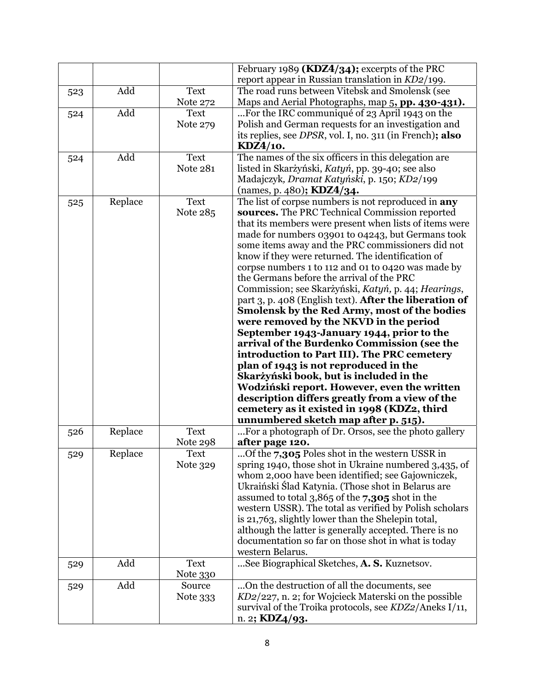|     |         |                 | February 1989 ( <i>KDZ4</i> /34); excerpts of the PRC                                                          |
|-----|---------|-----------------|----------------------------------------------------------------------------------------------------------------|
|     |         |                 | report appear in Russian translation in $KD2/199$ .                                                            |
| 523 | Add     | <b>Text</b>     | The road runs between Vitebsk and Smolensk (see                                                                |
|     |         | Note 272        | Maps and Aerial Photographs, map 5, pp. 430-431).                                                              |
| 524 | Add     | <b>Text</b>     | For the IRC communiqué of 23 April 1943 on the                                                                 |
|     |         | Note 279        | Polish and German requests for an investigation and                                                            |
|     |         |                 | its replies, see DPSR, vol. I, no. 311 (in French); also                                                       |
|     |         |                 | KDZ4/10.                                                                                                       |
| 524 | Add     | <b>Text</b>     | The names of the six officers in this delegation are                                                           |
|     |         | <b>Note 281</b> | listed in Skarżyński, Katyń, pp. 39-40; see also                                                               |
|     |         |                 | Madajczyk, Dramat Katyński, p. 150; KD2/199                                                                    |
|     |         |                 | (names, p. 480); <b>KDZ4/34.</b>                                                                               |
| 525 | Replace | <b>Text</b>     | The list of corpse numbers is not reproduced in any                                                            |
|     |         | Note 285        | sources. The PRC Technical Commission reported                                                                 |
|     |         |                 | that its members were present when lists of items were                                                         |
|     |         |                 | made for numbers 03901 to 04243, but Germans took                                                              |
|     |         |                 | some items away and the PRC commissioners did not                                                              |
|     |         |                 | know if they were returned. The identification of                                                              |
|     |         |                 | corpse numbers 1 to 112 and 01 to 0420 was made by                                                             |
|     |         |                 | the Germans before the arrival of the PRC                                                                      |
|     |         |                 | Commission; see Skarżyński, Katyń, p. 44; Hearings,                                                            |
|     |         |                 | part 3, p. 408 (English text). After the liberation of                                                         |
|     |         |                 | Smolensk by the Red Army, most of the bodies                                                                   |
|     |         |                 | were removed by the NKVD in the period                                                                         |
|     |         |                 | September 1943-January 1944, prior to the                                                                      |
|     |         |                 | arrival of the Burdenko Commission (see the                                                                    |
|     |         |                 | introduction to Part III). The PRC cemetery                                                                    |
|     |         |                 | plan of 1943 is not reproduced in the                                                                          |
|     |         |                 | Skarżyński book, but is included in the                                                                        |
|     |         |                 | Wodziński report. However, even the written                                                                    |
|     |         |                 | description differs greatly from a view of the                                                                 |
|     |         |                 | cemetery as it existed in 1998 (KDZ2, third                                                                    |
|     |         |                 | unnumbered sketch map after p. 515).                                                                           |
| 526 | Replace | <b>Text</b>     | For a photograph of Dr. Orsos, see the photo gallery                                                           |
|     |         | Note 298        | after page 120.<br>Of the 7,305 Poles shot in the western USSR in                                              |
| 529 | Replace | <b>Text</b>     |                                                                                                                |
|     |         | Note 329        | spring 1940, those shot in Ukraine numbered 3,435, of                                                          |
|     |         |                 | whom 2,000 have been identified; see Gajowniczek,                                                              |
|     |         |                 | Ukraiński Ślad Katynia. (Those shot in Belarus are                                                             |
|     |         |                 | assumed to total $3,865$ of the $7,305$ shot in the<br>western USSR). The total as verified by Polish scholars |
|     |         |                 | is 21,763, slightly lower than the Shelepin total,                                                             |
|     |         |                 | although the latter is generally accepted. There is no                                                         |
|     |         |                 | documentation so far on those shot in what is today                                                            |
|     |         |                 | western Belarus.                                                                                               |
| 529 | Add     | <b>Text</b>     | See Biographical Sketches, A. S. Kuznetsov.                                                                    |
|     |         | Note 330        |                                                                                                                |
| 529 | Add     | Source          | On the destruction of all the documents, see                                                                   |
|     |         | Note 333        | KD2/227, n. 2; for Wojcieck Materski on the possible                                                           |
|     |         |                 | survival of the Troika protocols, see KDZ2/Aneks I/11,                                                         |
|     |         |                 | n. 2; $KDZ4/93$ .                                                                                              |